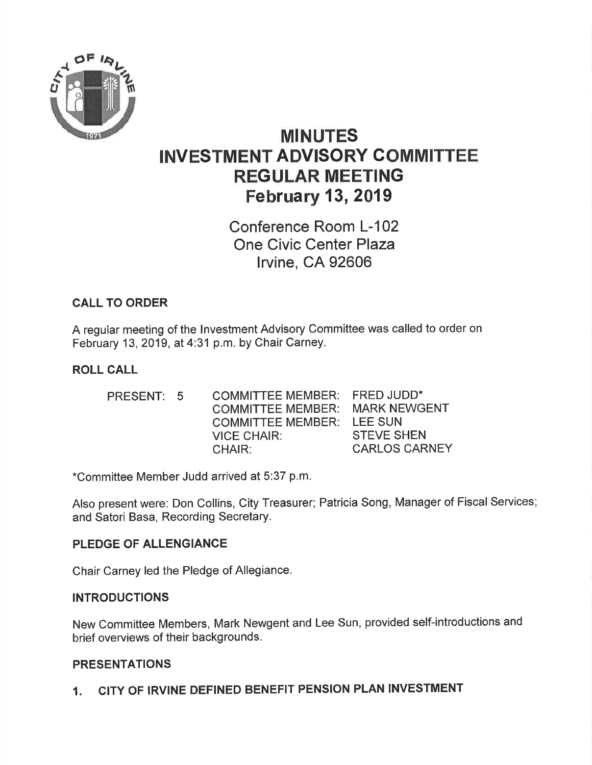

# MINUTES INVESTMENT ADVISORY COMMITTEE REGULAR MEETING February 13,2019

Conference Room L-102 One Civic Center Plaza lrvine, CA 92606

# CALL TO ORDER

A regular meeting of the lnvestment Advisory Committee was called to order on February 13,2019, at 4:31 p.m. by Chair Carney.

# ROLL CALL

| PRESENT: 5 | COMMITTEE MEMBER:        | <b>FRED JUDD*</b>    |
|------------|--------------------------|----------------------|
|            | <b>COMMITTEE MEMBER:</b> | <b>MARK NEWGENT</b>  |
|            | <b>COMMITTEE MEMBER:</b> | LEE SUN              |
|            | <b>VICE CHAIR:</b>       | <b>STEVE SHEN</b>    |
|            | CHAIR:                   | <b>CARLOS CARNEY</b> |

\*Committee Member Judd arrived at 5:37 p,m.

Also present were: Don Collins, City Treasurer; Patricia Song, Manager of Fiscal Services; and Satori Basa, Recording Secretary.

#### PLEDGE OF ALLENGIANCE

Chair Carney led the Pledge of Allegiance.

#### INTRODUCTIONS

New Committee Members, Mark Newgent and Lee Sun, provided self-introductions and brief overviews of their backgrounds.

# PRESENTATIONS

1. CITY OF IRVINE DEFINED BENEFIT PENSION PLAN INVESTMENT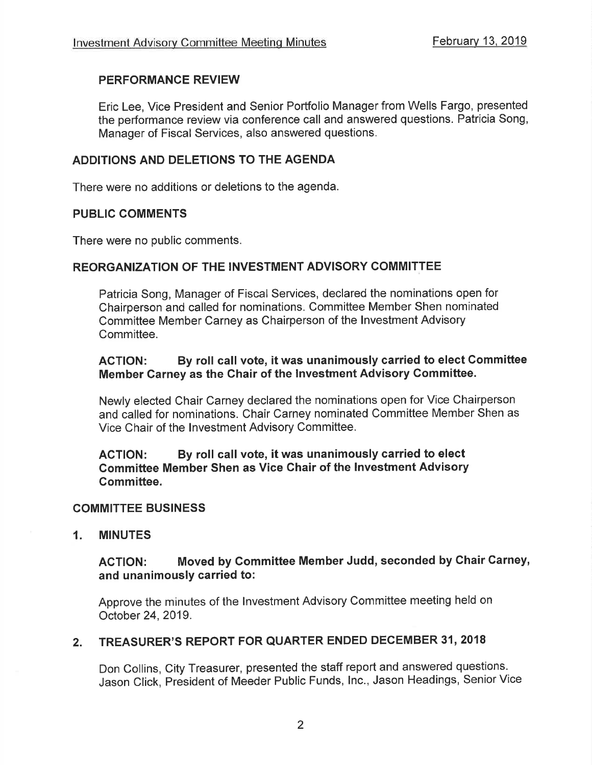# PERFORMANCE REVIEW

Eric Lee, Vice President and Senior Portfolio Manager from Wells Fargo, presented the performance review via conference call and answered questions. Patricia Song, Manager of Fiscal Services, also answered questions.

# ADDITIONS AND DELETIONS TO THE AGENDA

There were no additions or deletions to the agenda.

#### PUBLIC COMMENTS

There were no public comments.

#### REORGANIZATION OF THE INVESTMENT ADVISORY COMMITTEE

Patricia Song, Manager of Fiscal Services, declared the nominations open for Chairperson and called for nominations, Committee Member Shen nominated Committee Member Carney as Chairperson of the lnvestment Advisory Committee.

#### ACTION: By roll call vote, it was unanimously carried to elect Gommittee Member Garney as the Chair of the lnvestment Advisory Gommittee.

Newly elected Chair Carney declared the nominations open for Vice Chairperson and called for nominations. Chair Carney nominated Committee Member Shen as Vice Chair of the lnvestment Advisory Committee.

#### AGTION: By roll call vote, it was unanimously carried to elect Gommittee Member Shen as Vice Ghair of the Investment Advisory Gommittee.

#### COMMITTEE BUSINESS

1. MINUTES

# AGTION: Moved by Gommittee Member Judd, seconded by Ghair Carney, and unanimously carried to:

Approve the minutes of the lnvestment Advisory Committee meeting held on October 24,2019.

# 2. TREASURER'S REPORT FOR QUARTER ENDED DECEMBER 31, 2018

Don Collins, City Treasurer, presented the staff report and answered questions. Jason Click, President of Meeder Public Funds, Inc., Jason Headings, Senior Vice